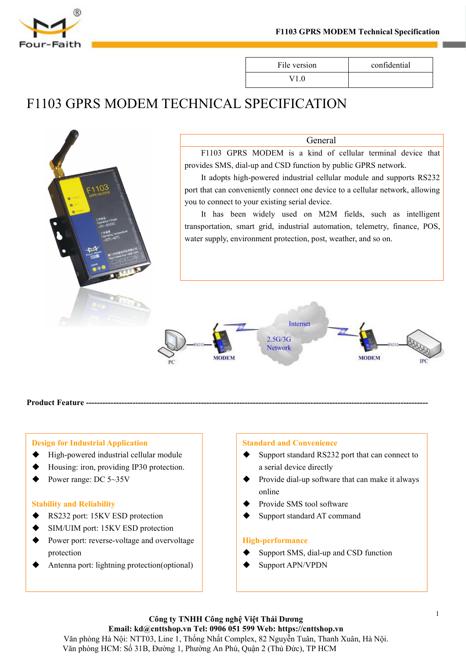

V1.0



# General

FIT03 GPRS MODEM 1 echnical Specification<br>
File version confidential<br>
V1.0<br>
NICAL SPECIFICATION<br>
General<br>
F1103 GPRS MODEM is a kind of cellular terminal device that<br>
ddes SMS, dial-up and CSD function by public GPRS netwo

File version confidential<br>
V1.0<br>
CHNICAL SPECIFICATION<br>
General<br>
F1103 GPRS MODEM is a kind of cellular terminal device that<br>
provides SMS, dial-up and CSD function by public GPRS network.<br>
It adopts high-powered industria File version confidential<br>V1.0<br>
NICAL SPECIFICATION<br>
General<br>
F1103 GPRS MODEM is a kind of cellular terminal device that<br>
ddes SMS, dial-up and CSD function by public GPRS network.<br>
It adopts high-powered industrial cellu FINICAL SPECIFICATION<br>
General<br>
FI103 GPRS MODEM is a kind of cellular terminal device that<br>
provides SMS, dial-up and CSD function by public GPRS network.<br>
It adopts high-powered industrial cellular module and supports RS FINICAL SPECIFICATION<br>
General<br>
F1103 GPRS MODEM is a kind of cellular terminal device tha<br>
provides SMS, dial-up and CSD function by public GPRS network.<br>
It adopts high-powered industrial cellular module and supports RS2 General<br>
General<br>
F1103 GPRS MODEM is a kind of cellular terminal device that<br>
ides SMS, dial-up and CSD function by public GPRS network.<br>
It adopts high-powered industrial cellular module and supports RS232<br>
that can conv General<br>
F1103 GPRS MODEM is a kind of cellular terminal device that<br>
provides SMS, dial-up and CSD function by public GPRS network.<br>
It adopts high-powered industrial cellular module and supports RS232<br>
port that can conv General<br>
FI103 GPRS MODEM is a kind of cellular terminal device that<br>
provides SMS, dial-up and CSD function by public GPRS network.<br>
It adopts high-powered industrial cellular module and supports RS232<br>
port that can conv



- 
- Pre MODEM<br>
Pre MODEM<br>
Pre MODEM<br>
Presign for Industrial Application<br>
→ High-powered industrial cellular module<br>
→ Housing: iron, providing IP30 protection.<br>
→ Power range: DC 5~35V<br>
Stability and Reliability<br>
→ RS232 port **FRED THE ENTERT CONCILENT SET AND THE ENTERTM OF STABILITY STABILITY CONCILENT SUPPOSE STABILITY**<br>
Stability and Reliability<br>
Stability and Reliability<br>
STABILITY RESS PROTECTION<br>
SIM/UIM port: 15KV ESD protection<br>
→ SIM
- 

- 
- 
- RS232 port: 15KV ESD protection **Design for Industrial Application**<br>  $\bullet$  High-powered industrial cellular module<br>  $\bullet$  Housing: iron, providing IP30 protection.<br>  $\bullet$  Power range: DC 5∼35V<br>
Stability and Reliability<br>  $\bullet$  RS232 port: 15KV ESD protecti **Design for Industrial Application**<br>
→ High-powered industrial cellular module<br>
→ Housing: iron, providing IP30 protection.<br>
→ Power range: DC 5~35V<br>
→ Provide<br>
<br>
<br>
<br> **Stability and Reliability**<br>
→ RS232 port: 15KV ESD pr protection **A**<br>
A High-powered industrial cellular module<br>
A High-powered industrial cellular module<br>
A Housing: iron, providing IP30 protection.<br>
<br>
Power range: DC 5∼35V<br>
<br>
Stability and Reliability<br>
A RS232 port: 15KV ESD protecti
- 

- Provide and Convenience<br>
A Standard and Convenience<br>
→ Support standard RS232 port that can connect to<br>
a serial device directly<br>
→ Provide dial-up software that can make it always<br>
online<br>
→ Provide SMS tool software<br>
Su Standard and Convenience<br>
Standard and Convenience<br>
→ Support standard RS232 port that can connect to<br>
a serial device directly<br>
→ Provide dial-up software that can make it always<br>
online<br>
→ Provide SMS tool software<br>
→ S Standard and Convenience<br>
Support standard RS232 port that can connect to<br>
a serial device directly<br>
Provide dial-up software that can make it always<br>
online<br>
Provide SMS tool software<br>
Support standard AT command<br>
High-p Standard and Convenience<br>
Support standard RS232 port that can connect to<br>
a serial device directly<br>
Provide dial-up software that can make it always<br>
online<br>
Provide SMS tool software<br>
Support standard AT command<br>
High-p Standard and Convenience<br>
Support standard RS232 port that can connect to<br>
a serial device directly<br>
Provide dial-up software that can make it always<br>
online<br>
Provide SMS tool software<br>
Support standard AT command<br>
High-p
- online
- 
- 

# **High-performance**

- 
-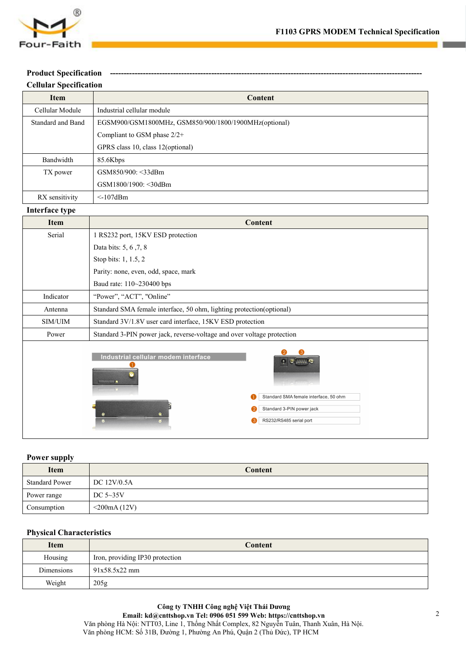

|                               | F1103 GPRS MODEM Technical Specification              |
|-------------------------------|-------------------------------------------------------|
| Four-Faith                    |                                                       |
| <b>Product Specification</b>  |                                                       |
| <b>Cellular Specification</b> |                                                       |
| Item                          | <b>Content</b>                                        |
| Cellular Module               | Industrial cellular module                            |
| Standard and Band             | EGSM900/GSM1800MHz, GSM850/900/1800/1900MHz(optional) |
|                               | Compliant to GSM phase 2/2+                           |
|                               | GPRS class 10, class 12(optional)                     |
| Bandwidth                     | 85.6Kbps                                              |
| TX power                      | GSM850/900: < 33dBm                                   |
|                               | GSM1800/1900: < 30dBm                                 |
| RX sensitivity                | $<$ -107dBm                                           |
| Interface type                |                                                       |
| Item                          | Content                                               |
| Serial                        | 1 RS232 port, 15KV ESD protection                     |
|                               | Data bits: 5, 6, 7, 8                                 |
|                               | Stop bits: 1, 1.5, 2                                  |
|                               |                                                       |

|                       | GPRS class 10, class 12(optional)                                                                                                                                    |  |  |  |
|-----------------------|----------------------------------------------------------------------------------------------------------------------------------------------------------------------|--|--|--|
| Bandwidth             | 85.6Kbps                                                                                                                                                             |  |  |  |
| TX power              | GSM850/900: <33dBm                                                                                                                                                   |  |  |  |
|                       | GSM1800/1900: < 30dBm                                                                                                                                                |  |  |  |
| RX sensitivity        | $<$ -107dBm                                                                                                                                                          |  |  |  |
| Interface type        |                                                                                                                                                                      |  |  |  |
| <b>Item</b>           | <b>Content</b>                                                                                                                                                       |  |  |  |
| Serial                | 1 RS232 port, 15KV ESD protection                                                                                                                                    |  |  |  |
|                       | Data bits: 5, 6, 7, 8                                                                                                                                                |  |  |  |
|                       | Stop bits: 1, 1.5, 2                                                                                                                                                 |  |  |  |
|                       | Parity: none, even, odd, space, mark                                                                                                                                 |  |  |  |
|                       | Baud rate: 110~230400 bps                                                                                                                                            |  |  |  |
| Indicator             | "Power", "ACT", "Online"                                                                                                                                             |  |  |  |
| Antenna               | Standard SMA female interface, 50 ohm, lighting protection(optional)                                                                                                 |  |  |  |
| SIM/UIM               | Standard 3V/1.8V user card interface, 15KV ESD protection                                                                                                            |  |  |  |
| Power                 | Standard 3-PIN power jack, reverse-voltage and over voltage protection                                                                                               |  |  |  |
|                       | Industrial cellular modem interface<br>$\left  \cdot \right\rangle$<br>Standard SMA female interface, 50 ohm<br>Standard 3-PIN power jack<br>RS232/RS485 serial port |  |  |  |
| <b>Power supply</b>   |                                                                                                                                                                      |  |  |  |
| <b>Item</b>           | Content                                                                                                                                                              |  |  |  |
| <b>Standard Power</b> | DC 12V/0.5A                                                                                                                                                          |  |  |  |
| Power range           | DC 5~35V                                                                                                                                                             |  |  |  |
| Consumption           | $<$ 200mA $(12V)$                                                                                                                                                    |  |  |  |

|                                 | <b>The Common</b><br>Standard SMA female interface, 50 ohm<br>Standard 3-PIN power jack<br>RS232/RS485 serial port |
|---------------------------------|--------------------------------------------------------------------------------------------------------------------|
| <b>Power supply</b>             |                                                                                                                    |
| Item                            | Content                                                                                                            |
| <b>Standard Power</b>           | DC 12V/0.5A                                                                                                        |
| Power range                     | DC 5~35V                                                                                                           |
| Consumption                     | $<$ 200mA $(12V)$                                                                                                  |
| <b>Physical Characteristics</b> |                                                                                                                    |
| <b>Item</b>                     | <b>Content</b>                                                                                                     |
| Housing                         | Iron, providing IP30 protection                                                                                    |
| Dimensions                      | 91x58.5x22 mm                                                                                                      |
| Weight                          | 205g                                                                                                               |

| <b>Item</b>                     | Content                         |  |  |  |
|---------------------------------|---------------------------------|--|--|--|
| <b>Standard Power</b>           | DC 12V/0.5A                     |  |  |  |
| Power range                     | DC $5~35V$                      |  |  |  |
| Consumption                     | $<$ 200mA $(12V)$               |  |  |  |
|                                 |                                 |  |  |  |
| <b>Physical Characteristics</b> |                                 |  |  |  |
| <b>Item</b>                     | <b>Content</b>                  |  |  |  |
| Housing                         | Iron, providing IP30 protection |  |  |  |
| Dimensions                      | 91x58.5x22 mm                   |  |  |  |
| Weight                          | 205g                            |  |  |  |
|                                 |                                 |  |  |  |